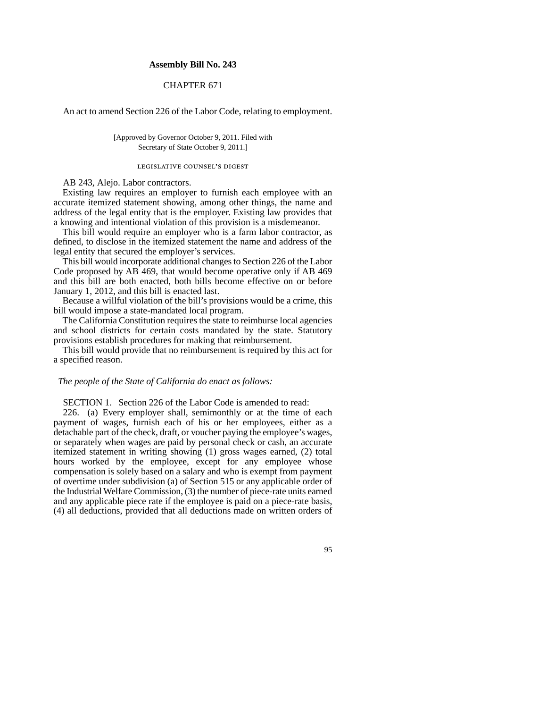## **Assembly Bill No. 243**

# CHAPTER 671

An act to amend Section 226 of the Labor Code, relating to employment.

[Approved by Governor October 9, 2011. Filed with Secretary of State October 9, 2011.]

#### legislative counsel's digest

## AB 243, Alejo. Labor contractors.

Existing law requires an employer to furnish each employee with an accurate itemized statement showing, among other things, the name and address of the legal entity that is the employer. Existing law provides that a knowing and intentional violation of this provision is a misdemeanor.

This bill would require an employer who is a farm labor contractor, as defined, to disclose in the itemized statement the name and address of the legal entity that secured the employer's services.

This bill would incorporate additional changes to Section 226 of the Labor Code proposed by AB 469, that would become operative only if AB 469 and this bill are both enacted, both bills become effective on or before January 1, 2012, and this bill is enacted last.

Because a willful violation of the bill's provisions would be a crime, this bill would impose a state-mandated local program.

The California Constitution requires the state to reimburse local agencies and school districts for certain costs mandated by the state. Statutory provisions establish procedures for making that reimbursement.

This bill would provide that no reimbursement is required by this act for a specified reason.

## *The people of the State of California do enact as follows:*

SECTION 1. Section 226 of the Labor Code is amended to read:

226. (a) Every employer shall, semimonthly or at the time of each payment of wages, furnish each of his or her employees, either as a detachable part of the check, draft, or voucher paying the employee's wages, or separately when wages are paid by personal check or cash, an accurate itemized statement in writing showing (1) gross wages earned, (2) total hours worked by the employee, except for any employee whose compensation is solely based on a salary and who is exempt from payment of overtime under subdivision (a) of Section 515 or any applicable order of the Industrial Welfare Commission, (3) the number of piece-rate units earned and any applicable piece rate if the employee is paid on a piece-rate basis, (4) all deductions, provided that all deductions made on written orders of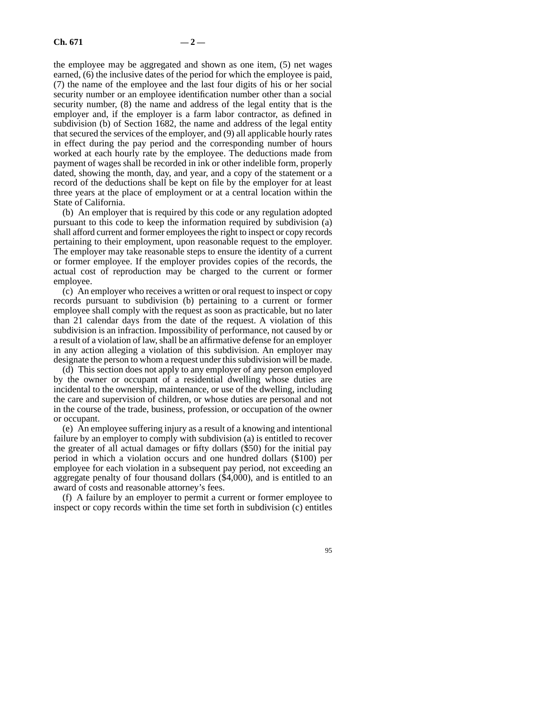the employee may be aggregated and shown as one item, (5) net wages earned, (6) the inclusive dates of the period for which the employee is paid, (7) the name of the employee and the last four digits of his or her social security number or an employee identification number other than a social security number, (8) the name and address of the legal entity that is the employer and, if the employer is a farm labor contractor, as defined in subdivision (b) of Section 1682, the name and address of the legal entity that secured the services of the employer, and (9) all applicable hourly rates in effect during the pay period and the corresponding number of hours worked at each hourly rate by the employee. The deductions made from payment of wages shall be recorded in ink or other indelible form, properly dated, showing the month, day, and year, and a copy of the statement or a record of the deductions shall be kept on file by the employer for at least three years at the place of employment or at a central location within the State of California.

(b) An employer that is required by this code or any regulation adopted pursuant to this code to keep the information required by subdivision (a) shall afford current and former employees the right to inspect or copy records pertaining to their employment, upon reasonable request to the employer. The employer may take reasonable steps to ensure the identity of a current or former employee. If the employer provides copies of the records, the actual cost of reproduction may be charged to the current or former employee.

(c) An employer who receives a written or oral request to inspect or copy records pursuant to subdivision (b) pertaining to a current or former employee shall comply with the request as soon as practicable, but no later than 21 calendar days from the date of the request. A violation of this subdivision is an infraction. Impossibility of performance, not caused by or a result of a violation of law, shall be an affirmative defense for an employer in any action alleging a violation of this subdivision. An employer may designate the person to whom a request under this subdivision will be made.

(d) This section does not apply to any employer of any person employed by the owner or occupant of a residential dwelling whose duties are incidental to the ownership, maintenance, or use of the dwelling, including the care and supervision of children, or whose duties are personal and not in the course of the trade, business, profession, or occupation of the owner or occupant.

(e) An employee suffering injury as a result of a knowing and intentional failure by an employer to comply with subdivision (a) is entitled to recover the greater of all actual damages or fifty dollars (\$50) for the initial pay period in which a violation occurs and one hundred dollars (\$100) per employee for each violation in a subsequent pay period, not exceeding an aggregate penalty of four thousand dollars (\$4,000), and is entitled to an award of costs and reasonable attorney's fees.

(f) A failure by an employer to permit a current or former employee to inspect or copy records within the time set forth in subdivision (c) entitles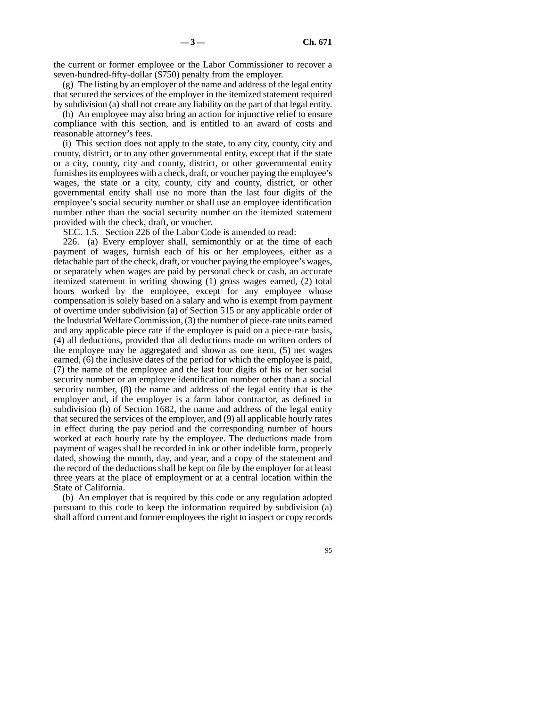the current or former employee or the Labor Commissioner to recover a seven-hundred-fifty-dollar (\$750) penalty from the employer.

(g) The listing by an employer of the name and address of the legal entity that secured the services of the employer in the itemized statement required by subdivision (a) shall not create any liability on the part of that legal entity.

(h) An employee may also bring an action for injunctive relief to ensure compliance with this section, and is entitled to an award of costs and reasonable attorney's fees.

(i) This section does not apply to the state, to any city, county, city and county, district, or to any other governmental entity, except that if the state or a city, county, city and county, district, or other governmental entity furnishes its employees with a check, draft, or voucher paying the employee's wages, the state or a city, county, city and county, district, or other governmental entity shall use no more than the last four digits of the employee's social security number or shall use an employee identification number other than the social security number on the itemized statement provided with the check, draft, or voucher.

SEC. 1.5. Section 226 of the Labor Code is amended to read:

226. (a) Every employer shall, semimonthly or at the time of each payment of wages, furnish each of his or her employees, either as a detachable part of the check, draft, or voucher paying the employee's wages, or separately when wages are paid by personal check or cash, an accurate itemized statement in writing showing (1) gross wages earned, (2) total hours worked by the employee, except for any employee whose compensation is solely based on a salary and who is exempt from payment of overtime under subdivision (a) of Section 515 or any applicable order of the Industrial Welfare Commission, (3) the number of piece-rate units earned and any applicable piece rate if the employee is paid on a piece-rate basis, (4) all deductions, provided that all deductions made on written orders of the employee may be aggregated and shown as one item, (5) net wages earned, (6) the inclusive dates of the period for which the employee is paid, (7) the name of the employee and the last four digits of his or her social security number or an employee identification number other than a social security number, (8) the name and address of the legal entity that is the employer and, if the employer is a farm labor contractor, as defined in subdivision (b) of Section 1682, the name and address of the legal entity that secured the services of the employer, and (9) all applicable hourly rates in effect during the pay period and the corresponding number of hours worked at each hourly rate by the employee. The deductions made from payment of wages shall be recorded in ink or other indelible form, properly dated, showing the month, day, and year, and a copy of the statement and the record of the deductions shall be kept on file by the employer for at least three years at the place of employment or at a central location within the State of California.

(b) An employer that is required by this code or any regulation adopted pursuant to this code to keep the information required by subdivision (a) shall afford current and former employees the right to inspect or copy records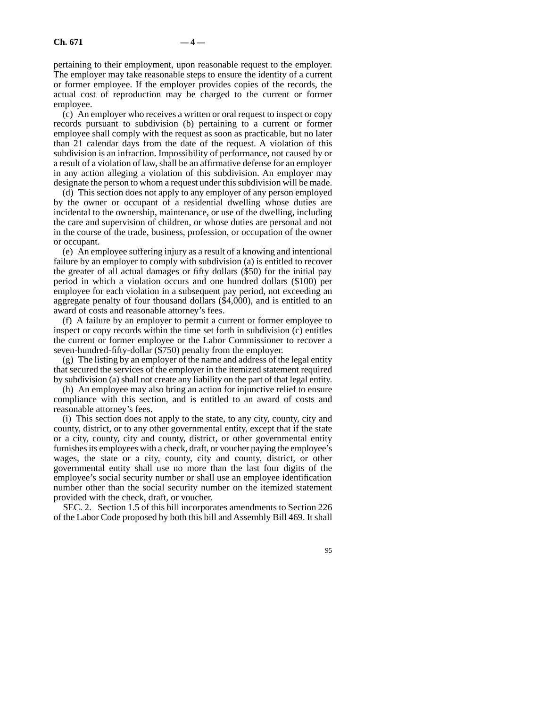pertaining to their employment, upon reasonable request to the employer. The employer may take reasonable steps to ensure the identity of a current or former employee. If the employer provides copies of the records, the actual cost of reproduction may be charged to the current or former employee.

(c) An employer who receives a written or oral request to inspect or copy records pursuant to subdivision (b) pertaining to a current or former employee shall comply with the request as soon as practicable, but no later than 21 calendar days from the date of the request. A violation of this subdivision is an infraction. Impossibility of performance, not caused by or a result of a violation of law, shall be an affirmative defense for an employer in any action alleging a violation of this subdivision. An employer may designate the person to whom a request under this subdivision will be made.

(d) This section does not apply to any employer of any person employed by the owner or occupant of a residential dwelling whose duties are incidental to the ownership, maintenance, or use of the dwelling, including the care and supervision of children, or whose duties are personal and not in the course of the trade, business, profession, or occupation of the owner or occupant.

(e) An employee suffering injury as a result of a knowing and intentional failure by an employer to comply with subdivision (a) is entitled to recover the greater of all actual damages or fifty dollars (\$50) for the initial pay period in which a violation occurs and one hundred dollars (\$100) per employee for each violation in a subsequent pay period, not exceeding an aggregate penalty of four thousand dollars (\$4,000), and is entitled to an award of costs and reasonable attorney's fees.

(f) A failure by an employer to permit a current or former employee to inspect or copy records within the time set forth in subdivision (c) entitles the current or former employee or the Labor Commissioner to recover a seven-hundred-fifty-dollar (\$750) penalty from the employer.

(g) The listing by an employer of the name and address of the legal entity that secured the services of the employer in the itemized statement required by subdivision (a) shall not create any liability on the part of that legal entity.

(h) An employee may also bring an action for injunctive relief to ensure compliance with this section, and is entitled to an award of costs and reasonable attorney's fees.

(i) This section does not apply to the state, to any city, county, city and county, district, or to any other governmental entity, except that if the state or a city, county, city and county, district, or other governmental entity furnishes its employees with a check, draft, or voucher paying the employee's wages, the state or a city, county, city and county, district, or other governmental entity shall use no more than the last four digits of the employee's social security number or shall use an employee identification number other than the social security number on the itemized statement provided with the check, draft, or voucher.

SEC. 2. Section 1.5 of this bill incorporates amendments to Section 226 of the Labor Code proposed by both this bill and Assembly Bill 469. It shall